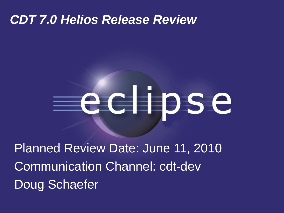#### *CDT 7.0 Helios Release Review*

# eclipse

Planned Review Date: June 11, 2010 Communication Channel: cdt-dev Doug Schaefer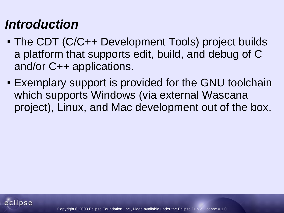# *Introduction*

- The CDT (C/C++ Development Tools) project builds a platform that supports edit, build, and debug of C and/or C++ applications.
- Exemplary support is provided for the GNU toolchain which supports Windows (via external Wascana project), Linux, and Mac development out of the box.

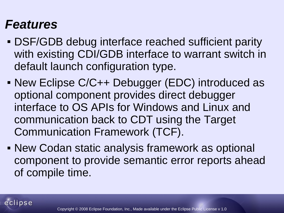#### *Features*

- DSF/GDB debug interface reached sufficient parity with existing CDI/GDB interface to warrant switch in default launch configuration type.
- New Eclipse C/C++ Debugger (EDC) introduced as optional component provides direct debugger interface to OS APIs for Windows and Linux and communication back to CDT using the Target Communication Framework (TCF).
- New Codan static analysis framework as optional component to provide semantic error reports ahead of compile time.

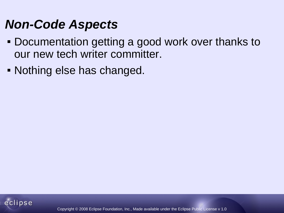#### *Non-Code Aspects*

- Documentation getting a good work over thanks to our new tech writer committer.
- Nothing else has changed.

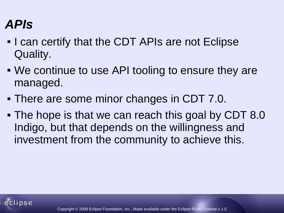# *APIs*

- I can certify that the CDT APIs are not Eclipse Quality.
- We continue to use API tooling to ensure they are managed.
- There are some minor changes in CDT 7.0.
- The hope is that we can reach this goal by CDT 8.0 Indigo, but that depends on the willingness and investment from the community to achieve this.

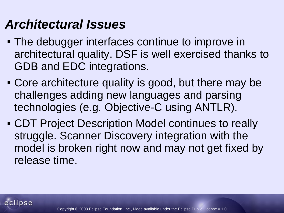# *Architectural Issues*

- The debugger interfaces continue to improve in architectural quality. DSF is well exercised thanks to GDB and EDC integrations.
- Core architecture quality is good, but there may be challenges adding new languages and parsing technologies (e.g. Objective-C using ANTLR).
- CDT Project Description Model continues to really struggle. Scanner Discovery integration with the model is broken right now and may not get fixed by release time.

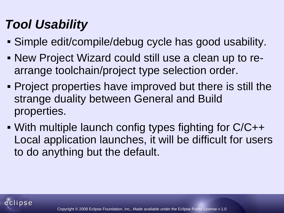# *Tool Usability*

- Simple edit/compile/debug cycle has good usability.
- New Project Wizard could still use a clean up to rearrange toolchain/project type selection order.
- Project properties have improved but there is still the strange duality between General and Build properties.
- With multiple launch config types fighting for C/C++ Local application launches, it will be difficult for users to do anything but the default.

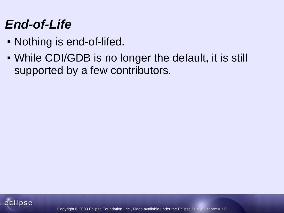### *End-of-Life*

- Nothing is end-of-lifed.
- While CDI/GDB is no longer the default, it is still supported by a few contributors.

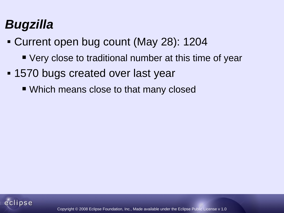# *Bugzilla*

- Current open bug count (May 28): 1204
	- Very close to traditional number at this time of year
- 1570 bugs created over last year
	- Which means close to that many closed

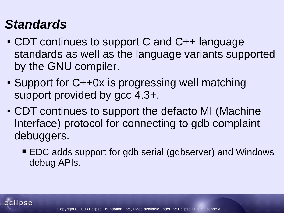## *Standards*

- CDT continues to support C and C++ language standards as well as the language variants supported by the GNU compiler.
- Support for C++0x is progressing well matching support provided by gcc 4.3+.
- CDT continues to support the defacto MI (Machine Interface) protocol for connecting to gdb complaint debuggers.
	- EDC adds support for gdb serial (gdbserver) and Windows debug APIs.

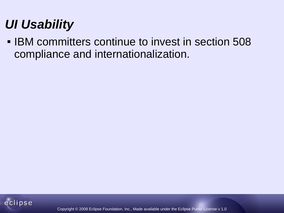# *UI Usability*

**IBM committers continue to invest in section 508** compliance and internationalization.

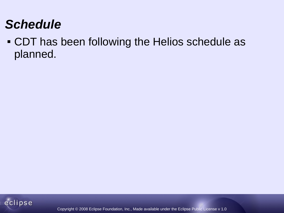# *Schedule*

 CDT has been following the Helios schedule as planned.

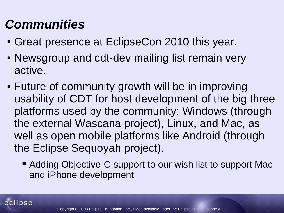# *Communities*

- Great presence at EclipseCon 2010 this year.
- Newsgroup and cdt-dev mailing list remain very active.
- Future of community growth will be in improving usability of CDT for host development of the big three platforms used by the community: Windows (through the external Wascana project), Linux, and Mac, as well as open mobile platforms like Android (through the Eclipse Sequoyah project).
	- Adding Objective-C support to our wish list to support Mac and iPhone development

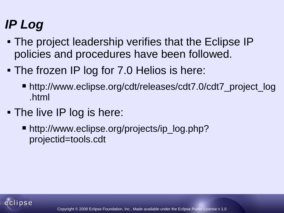# *IP Log*

- The project leadership verifies that the Eclipse IP policies and procedures have been followed.
- The frozen IP log for 7.0 Helios is here:
	- http://www.eclipse.org/cdt/releases/cdt7.0/cdt7\_project\_log .html
- The live IP log is here:
	- http://www.eclipse.org/projects/ip\_log.php? projectid=tools.cdt

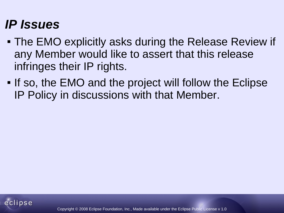## *IP Issues*

- The EMO explicitly asks during the Release Review if any Member would like to assert that this release infringes their IP rights.
- If so, the EMO and the project will follow the Eclipse IP Policy in discussions with that Member.

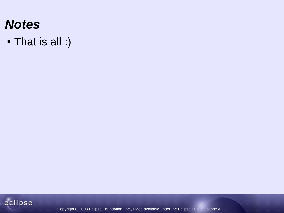#### *Notes*

That is all :)